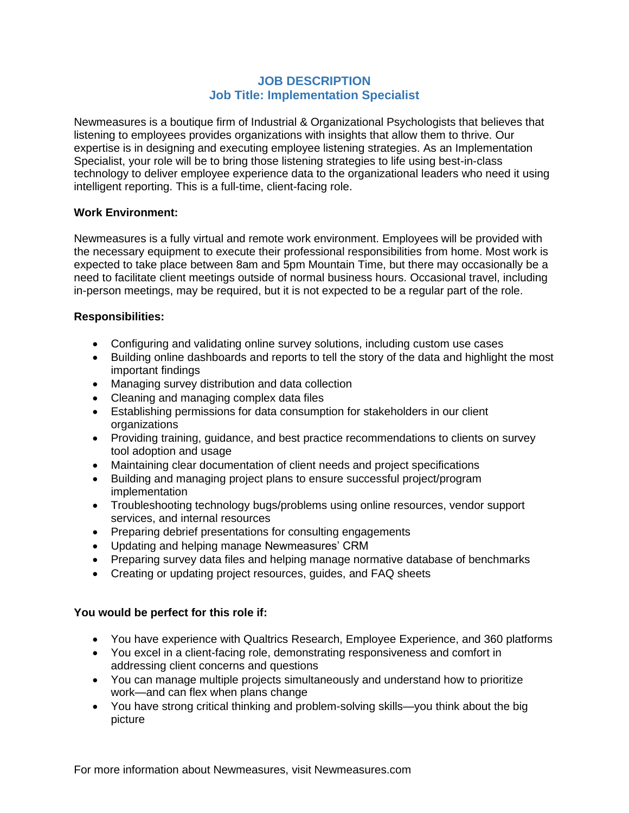## **JOB DESCRIPTION Job Title: Implementation Specialist**

Newmeasures is a boutique firm of Industrial & Organizational Psychologists that believes that listening to employees provides organizations with insights that allow them to thrive. Our expertise is in designing and executing employee listening strategies. As an Implementation Specialist, your role will be to bring those listening strategies to life using best-in-class technology to deliver employee experience data to the organizational leaders who need it using intelligent reporting. This is a full-time, client-facing role.

### **Work Environment:**

Newmeasures is a fully virtual and remote work environment. Employees will be provided with the necessary equipment to execute their professional responsibilities from home. Most work is expected to take place between 8am and 5pm Mountain Time, but there may occasionally be a need to facilitate client meetings outside of normal business hours. Occasional travel, including in-person meetings, may be required, but it is not expected to be a regular part of the role.

## **Responsibilities:**

- Configuring and validating online survey solutions, including custom use cases
- Building online dashboards and reports to tell the story of the data and highlight the most important findings
- Managing survey distribution and data collection
- Cleaning and managing complex data files
- Establishing permissions for data consumption for stakeholders in our client organizations
- Providing training, guidance, and best practice recommendations to clients on survey tool adoption and usage
- Maintaining clear documentation of client needs and project specifications
- Building and managing project plans to ensure successful project/program implementation
- Troubleshooting technology bugs/problems using online resources, vendor support services, and internal resources
- Preparing debrief presentations for consulting engagements
- Updating and helping manage Newmeasures' CRM
- Preparing survey data files and helping manage normative database of benchmarks
- Creating or updating project resources, guides, and FAQ sheets

# **You would be perfect for this role if:**

- You have experience with Qualtrics Research, Employee Experience, and 360 platforms
- You excel in a client-facing role, demonstrating responsiveness and comfort in addressing client concerns and questions
- You can manage multiple projects simultaneously and understand how to prioritize work—and can flex when plans change
- You have strong critical thinking and problem-solving skills—you think about the big picture